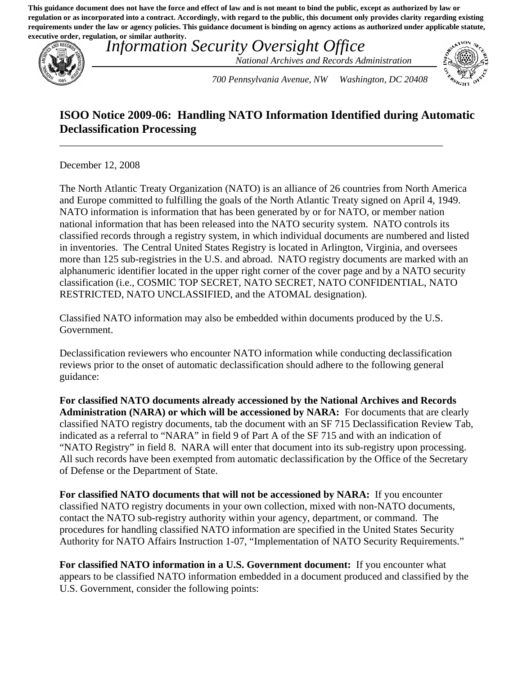**This guidance document does not have the force and effect of law and is not meant to bind the public, except as authorized by law or regulation or as incorporated into a contract. Accordingly, with regard to the public, this document only provides clarity regarding existing requirements under the law or agency policies. This guidance document is binding on agency actions as authorized under applicable statute, executive order, regulation, or similar authority.**



*Information Security Oversight Office National Archives and Records Administration* 



*700 Pennsylvania Avenue, NW Washington, DC 20408* 

## **ISOO Notice 2009-06: Handling NATO Information Identified during Automatic Declassification Processing**

\_\_\_\_\_\_\_\_\_\_\_\_\_\_\_\_\_\_\_\_\_\_\_\_\_\_\_\_\_\_\_\_\_\_\_\_\_\_\_\_\_\_\_\_\_\_\_\_\_\_\_\_\_\_\_\_\_\_\_\_\_\_\_\_\_\_\_\_\_\_\_\_\_\_\_

December 12, 2008

The North Atlantic Treaty Organization (NATO) is an alliance of 26 countries from North America and Europe committed to fulfilling the goals of the North Atlantic Treaty signed on April 4, 1949. NATO information is information that has been generated by or for NATO, or member nation national information that has been released into the NATO security system. NATO controls its classified records through a registry system, in which individual documents are numbered and listed in inventories. The Central United States Registry is located in Arlington, Virginia, and oversees more than 125 sub-registries in the U.S. and abroad. NATO registry documents are marked with an alphanumeric identifier located in the upper right corner of the cover page and by a NATO security classification (i.e., COSMIC TOP SECRET, NATO SECRET, NATO CONFIDENTIAL, NATO RESTRICTED, NATO UNCLASSIFIED, and the ATOMAL designation).

Classified NATO information may also be embedded within documents produced by the U.S. Government.

Declassification reviewers who encounter NATO information while conducting declassification reviews prior to the onset of automatic declassification should adhere to the following general guidance:

**For classified NATO documents already accessioned by the National Archives and Records Administration (NARA) or which will be accessioned by NARA:** For documents that are clearly classified NATO registry documents, tab the document with an SF 715 Declassification Review Tab, indicated as a referral to "NARA" in field 9 of Part A of the SF 715 and with an indication of "NATO Registry" in field 8. NARA will enter that document into its sub-registry upon processing. All such records have been exempted from automatic declassification by the Office of the Secretary of Defense or the Department of State.

**For classified NATO documents that will not be accessioned by NARA:** If you encounter classified NATO registry documents in your own collection, mixed with non-NATO documents, contact the NATO sub-registry authority within your agency, department, or command. The procedures for handling classified NATO information are specified in the United States Security Authority for NATO Affairs Instruction 1-07, "Implementation of NATO Security Requirements."

**For classified NATO information in a U.S. Government document:** If you encounter what appears to be classified NATO information embedded in a document produced and classified by the U.S. Government, consider the following points: